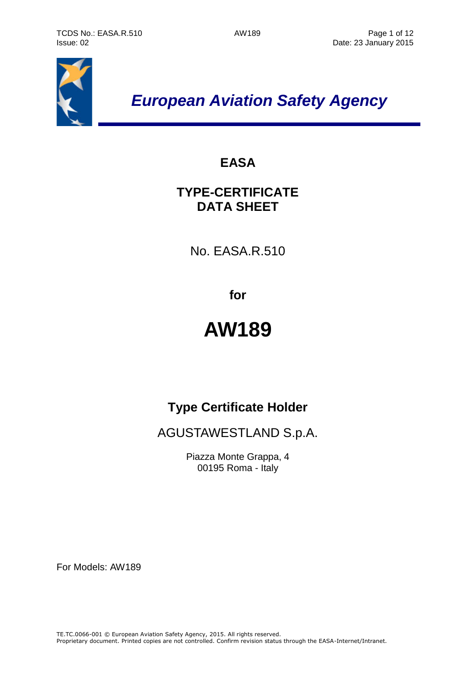

## *European Aviation Safety Agency*

## **EASA**

## **TYPE-CERTIFICATE DATA SHEET**

No. EASA.R.510

**for**

# **AW189**

## **Type Certificate Holder**

AGUSTAWESTLAND S.p.A.

Piazza Monte Grappa, 4 00195 Roma - Italy

For Models: AW189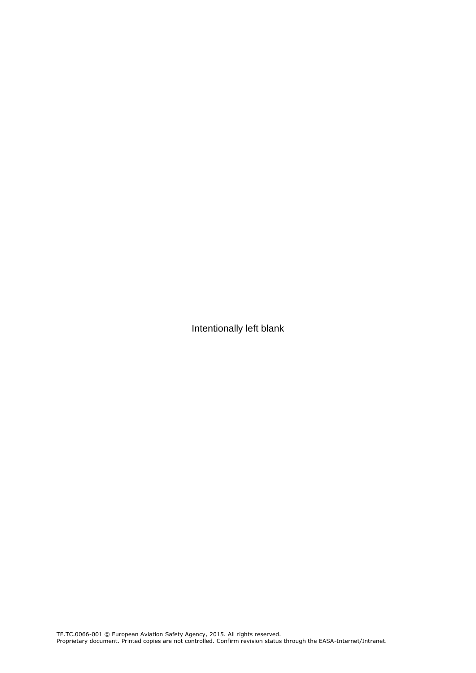Intentionally left blank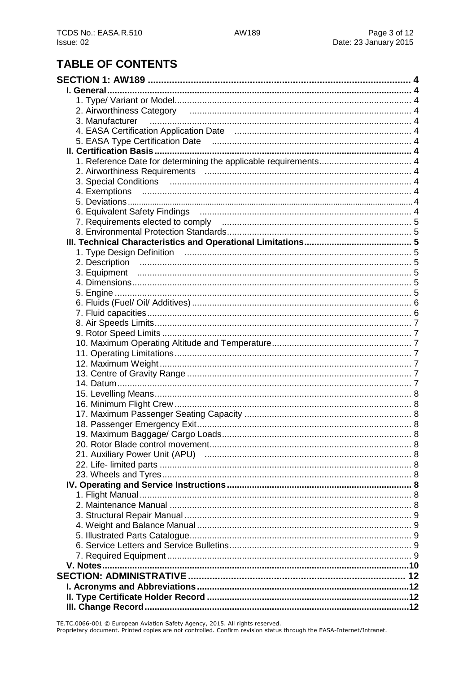### **TABLE OF CONTENTS**

| 3. Manufacturer |  |
|-----------------|--|
|                 |  |
|                 |  |
|                 |  |
|                 |  |
|                 |  |
|                 |  |
|                 |  |
|                 |  |
|                 |  |
|                 |  |
|                 |  |
|                 |  |
|                 |  |
|                 |  |
|                 |  |
|                 |  |
|                 |  |
|                 |  |
|                 |  |
|                 |  |
|                 |  |
|                 |  |
|                 |  |
|                 |  |
|                 |  |
|                 |  |
|                 |  |
|                 |  |
|                 |  |
|                 |  |
|                 |  |
|                 |  |
|                 |  |
|                 |  |
|                 |  |
|                 |  |
|                 |  |
|                 |  |
|                 |  |
|                 |  |
|                 |  |
|                 |  |
|                 |  |
|                 |  |
|                 |  |
|                 |  |
|                 |  |
|                 |  |

TE.TC.0066-001 © European Aviation Safety Agency, 2015. All rights reserved.<br>Proprietary document. Printed copies are not controlled. Confirm revision status through the EASA-Internet/Intranet.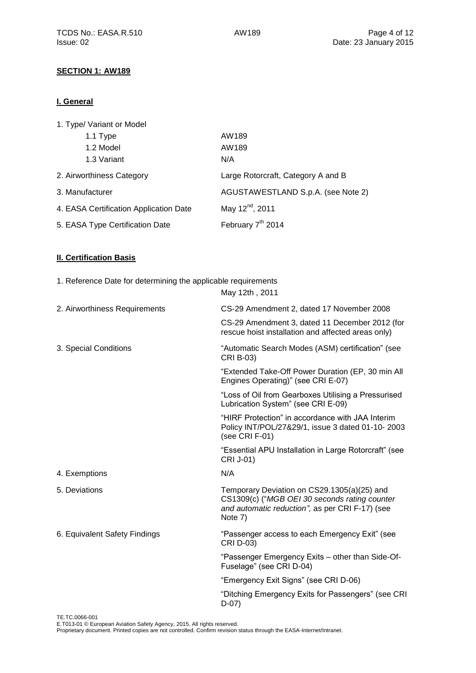#### <span id="page-3-0"></span>**SECTION 1: AW189**

#### <span id="page-3-1"></span>**I. General**

<span id="page-3-3"></span><span id="page-3-2"></span>

| 1. Type/ Variant or Model              |                                    |
|----------------------------------------|------------------------------------|
|                                        |                                    |
| 1.1 Type                               | AW189                              |
| 1.2 Model                              | AW189                              |
| 1.3 Variant                            | N/A                                |
| 2. Airworthiness Category              | Large Rotorcraft, Category A and B |
| 3. Manufacturer                        | AGUSTAWESTLAND S.p.A. (see Note 2) |
| 4. EASA Certification Application Date | May 12 <sup>nd</sup> , 2011        |
| 5. EASA Type Certification Date        | February 7 <sup>th</sup> 2014      |

#### <span id="page-3-7"></span><span id="page-3-6"></span><span id="page-3-5"></span><span id="page-3-4"></span>**II. Certification Basis**

<span id="page-3-8"></span>

|  |  | 1. Reference Date for determining the applicable requirements |
|--|--|---------------------------------------------------------------|
|  |  |                                                               |

<span id="page-3-10"></span><span id="page-3-9"></span>

|                               | May 12th, 2011                                                                                                                                             |
|-------------------------------|------------------------------------------------------------------------------------------------------------------------------------------------------------|
| 2. Airworthiness Requirements | CS-29 Amendment 2, dated 17 November 2008                                                                                                                  |
|                               | CS-29 Amendment 3, dated 11 December 2012 (for<br>rescue hoist installation and affected areas only)                                                       |
| 3. Special Conditions         | "Automatic Search Modes (ASM) certification" (see<br>CRI B-03)                                                                                             |
|                               | "Extended Take-Off Power Duration (EP, 30 min All<br>Engines Operating)" (see CRI E-07)                                                                    |
|                               | "Loss of Oil from Gearboxes Utilising a Pressurised<br>Lubrication System" (see CRI E-09)                                                                  |
|                               | "HIRF Protection" in accordance with JAA Interim<br>Policy INT/POL/27&29/1, issue 3 dated 01-10-2003<br>(see CRI F-01)                                     |
|                               | "Essential APU Installation in Large Rotorcraft" (see<br>CRI J-01)                                                                                         |
| 4. Exemptions                 | N/A                                                                                                                                                        |
| 5. Deviations                 | Temporary Deviation on CS29.1305(a)(25) and<br>CS1309(c) ("MGB OEI 30 seconds rating counter<br>and automatic reduction", as per CRI F-17) (see<br>Note 7) |
| 6. Equivalent Safety Findings | "Passenger access to each Emergency Exit" (see<br><b>CRI D-03)</b>                                                                                         |
|                               | "Passenger Emergency Exits - other than Side-Of-<br>Fuselage" (see CRI D-04)                                                                               |
|                               | "Emergency Exit Signs" (see CRI D-06)                                                                                                                      |
|                               | "Ditching Emergency Exits for Passengers" (see CRI<br>$D-07$                                                                                               |
|                               |                                                                                                                                                            |

<span id="page-3-13"></span><span id="page-3-12"></span><span id="page-3-11"></span>E.T013-01 © European Aviation Safety Agency, 2015. All rights reserved.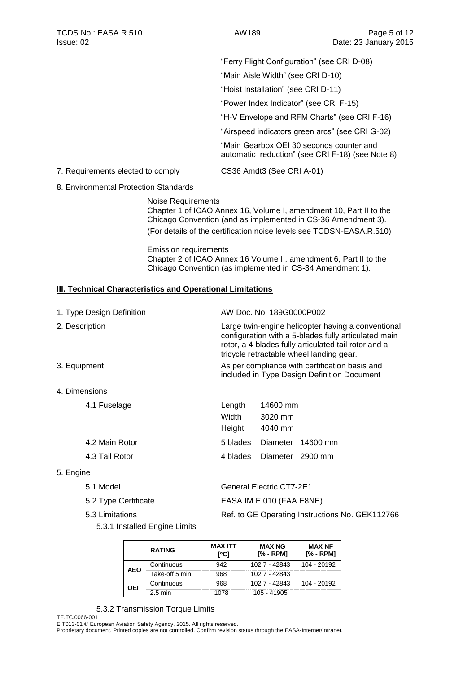"Ferry Flight Configuration" (see CRI D-08)

"Main Aisle Width" (see CRI D-10)

"Hoist Installation" (see CRI D-11)

"Power Index Indicator" (see CRI F-15)

"H-V Envelope and RFM Charts" (see CRI F-16)

"Airspeed indicators green arcs" (see CRI G-02)

"Main Gearbox OEI 30 seconds counter and automatic reduction" (see CRI F-18) (see Note 8)

<span id="page-4-0"></span>7. Requirements elected to comply CS36 Amdt3 (See CRI A-01)

<span id="page-4-1"></span>8. Environmental Protection Standards

Noise Requirements

Chapter 1 of ICAO Annex 16, Volume I, amendment 10, Part II to the Chicago Convention (and as implemented in CS-36 Amendment 3). (For details of the certification noise levels see TCDSN-EASA.R.510)

Emission requirements Chapter 2 of ICAO Annex 16 Volume II, amendment 6, Part II to the Chicago Convention (as implemented in CS-34 Amendment 1).

#### <span id="page-4-2"></span>**III. Technical Characteristics and Operational Limitations**

<span id="page-4-6"></span><span id="page-4-5"></span><span id="page-4-4"></span><span id="page-4-3"></span>

|                | 1. Type Design Definition | AW Doc. No. 189G0000P002                                                                                                                                                                                       |                                |                                                 |
|----------------|---------------------------|----------------------------------------------------------------------------------------------------------------------------------------------------------------------------------------------------------------|--------------------------------|-------------------------------------------------|
| 2. Description |                           | Large twin-engine helicopter having a conventional<br>configuration with a 5-blades fully articulated main<br>rotor, a 4-blades fully articulated tail rotor and a<br>tricycle retractable wheel landing gear. |                                |                                                 |
| 3. Equipment   |                           | As per compliance with certification basis and<br>included in Type Design Definition Document                                                                                                                  |                                |                                                 |
|                | 4. Dimensions             |                                                                                                                                                                                                                |                                |                                                 |
|                | 4.1 Fuselage              | Length<br>Width<br>Height                                                                                                                                                                                      | 14600 mm<br>3020 mm<br>4040 mm |                                                 |
|                | 4.2 Main Rotor            | 5 blades                                                                                                                                                                                                       |                                | Diameter 14600 mm                               |
|                | 4.3 Tail Rotor            | 4 blades                                                                                                                                                                                                       | Diameter 2900 mm               |                                                 |
| 5. Engine      |                           |                                                                                                                                                                                                                |                                |                                                 |
|                | 5.1 Model                 | General Electric CT7-2E1                                                                                                                                                                                       |                                |                                                 |
|                | 5.2 Type Certificate      | EASA IM.E.010 (FAA E8NE)                                                                                                                                                                                       |                                |                                                 |
|                | 5.3 Limitations           |                                                                                                                                                                                                                |                                | Ref. to GE Operating Instructions No. GEK112766 |
|                |                           |                                                                                                                                                                                                                |                                |                                                 |

<span id="page-4-7"></span>5.3.1 Installed Engine Limits

|            | <b>RATING</b>     | <b>MAX ITT</b><br>[°C] | <b>MAX NG</b><br>[% - RPM] | <b>MAX NF</b><br>$[M - RPM]$ |
|------------|-------------------|------------------------|----------------------------|------------------------------|
|            | Continuous        | 942                    | 102.7 - 42843              | 104 - 20192                  |
| <b>AEO</b> | Take-off 5 min    | 968                    | 102.7 - 42843              |                              |
| OEI        | Continuous        | 968                    | 102.7 - 42843              | 104 - 20192                  |
|            | $2.5 \text{ min}$ | 1078                   | 105 - 41905                |                              |

5.3.2 Transmission Torque Limits

TE.TC.0066-001

E.T013-01 © European Aviation Safety Agency, 2015. All rights reserved.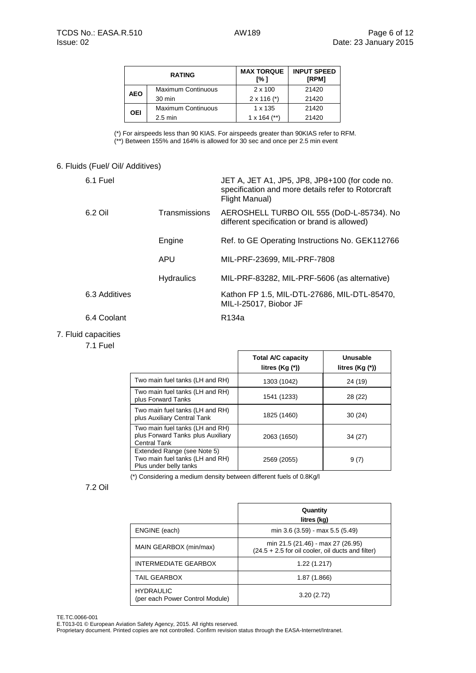|            | <b>RATING</b>             | <b>MAX TORQUE</b><br>[% 1 | <b>INPUT SPEED</b><br>[RPM] |
|------------|---------------------------|---------------------------|-----------------------------|
| <b>AEO</b> | <b>Maximum Continuous</b> | $2 \times 100$            | 21420                       |
|            | 30 min                    | $2 \times 116$ (*)        | 21420                       |
| <b>OEI</b> | Maximum Continuous        | 1 x 135                   | 21420                       |
|            | $2.5 \text{ min}$         | $1 \times 164$ (**)       | 21420                       |

(\*) For airspeeds less than 90 KIAS. For airspeeds greater than 90KIAS refer to RFM. (\*\*) Between 155% and 164% is allowed for 30 sec and once per 2.5 min event

#### <span id="page-5-0"></span>6. Fluids (Fuel/ Oil/ Additives)

| 6.1 Fuel      |                   | JET A, JET A1, JP5, JP8, JP8+100 (for code no.<br>specification and more details refer to Rotorcraft<br>Flight Manual) |
|---------------|-------------------|------------------------------------------------------------------------------------------------------------------------|
| 6.2 Oil       | Transmissions     | AEROSHELL TURBO OIL 555 (DoD-L-85734). No<br>different specification or brand is allowed)                              |
|               | Engine            | Ref. to GE Operating Instructions No. GEK112766                                                                        |
|               | APU               | MIL-PRF-23699, MIL-PRF-7808                                                                                            |
|               | <b>Hydraulics</b> | MIL-PRF-83282, MIL-PRF-5606 (as alternative)                                                                           |
| 6.3 Additives |                   | Kathon FP 1.5, MIL-DTL-27686, MIL-DTL-85470,<br>MIL-I-25017, Biobor JF                                                 |
| 6.4 Coolant   |                   | R134a                                                                                                                  |

#### <span id="page-5-1"></span>7. Fluid capacities

7.1 Fuel

|                                                                                             | <b>Total A/C capacity</b><br>litres (Kg (*)) | Unusable<br>litres $(Kg(*)$ |
|---------------------------------------------------------------------------------------------|----------------------------------------------|-----------------------------|
| Two main fuel tanks (LH and RH)                                                             | 1303 (1042)                                  | 24 (19)                     |
| Two main fuel tanks (LH and RH)<br>plus Forward Tanks                                       | 1541 (1233)                                  | 28 (22)                     |
| Two main fuel tanks (LH and RH)<br>plus Auxiliary Central Tank                              | 1825 (1460)                                  | 30(24)                      |
| Two main fuel tanks (LH and RH)<br>plus Forward Tanks plus Auxiliary<br><b>Central Tank</b> | 2063 (1650)                                  | 34 (27)                     |
| Extended Range (see Note 5)<br>Two main fuel tanks (LH and RH)<br>Plus under belly tanks    | 2569 (2055)                                  | 9(7)                        |

(\*) Considering a medium density between different fuels of 0.8Kg/l

#### 7.2 Oil

|                                                     | Quantity<br>litres (kg)                                                                  |
|-----------------------------------------------------|------------------------------------------------------------------------------------------|
| ENGINE (each)                                       | min 3.6 (3.59) - max 5.5 (5.49)                                                          |
| MAIN GEARBOX (min/max)                              | min 21.5 (21.46) - max 27 (26.95)<br>$(24.5 + 2.5$ for oil cooler, oil ducts and filter) |
| INTERMEDIATE GEARBOX                                | 1.22(1.217)                                                                              |
| <b>TAIL GEARBOX</b>                                 | 1.87 (1.866)                                                                             |
| <b>HYDRAULIC</b><br>(per each Power Control Module) | 3.20(2.72)                                                                               |

TE.TC.0066-001

E.T013-01 © European Aviation Safety Agency, 2015. All rights reserved.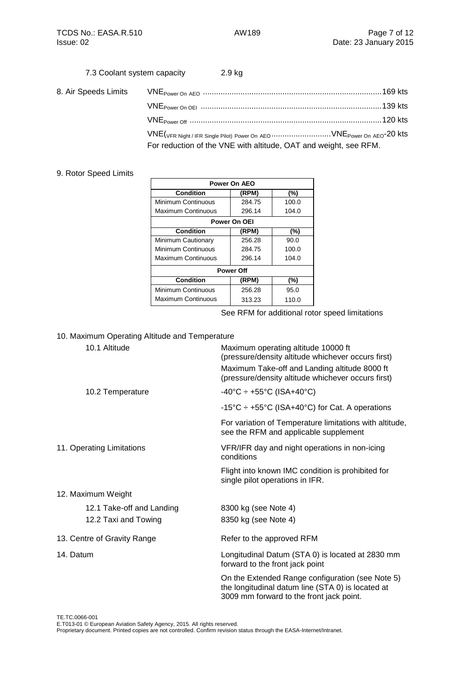#### 7.3 Coolant system capacity 2.9 kg

<span id="page-6-0"></span>

| VNE (VFR Night / IFR Single Pilot) Power On AEO VNE Power On AEO-20 kts |  |
|-------------------------------------------------------------------------|--|
| For reduction of the VNE with altitude, OAT and weight, see RFM.        |  |

<span id="page-6-1"></span>9. Rotor Speed Limits

| Power On AEO                        |              |         |  |  |  |
|-------------------------------------|--------------|---------|--|--|--|
| <b>Condition</b><br>(RPM)<br>$(\%)$ |              |         |  |  |  |
| Minimum Continuous                  | 284.75       | 100.0   |  |  |  |
| Maximum Continuous                  | 296.14       | 104.0   |  |  |  |
|                                     | Power On OEI |         |  |  |  |
| <b>Condition</b><br>(RPM)<br>(%)    |              |         |  |  |  |
| Minimum Cautionary                  | 256.28       | 90.0    |  |  |  |
| Minimum Continuous                  | 284.75       | 100.0   |  |  |  |
| Maximum Continuous                  | 296.14       | 104.0   |  |  |  |
| <b>Power Off</b>                    |              |         |  |  |  |
| <b>Condition</b>                    | (RPM)        | $(\% )$ |  |  |  |
| Minimum Continuous                  | 256.28       | 95.0    |  |  |  |
| Maximum Continuous                  | 313.23       | 110.0   |  |  |  |

<span id="page-6-4"></span>See RFM for additional rotor speed limitations

#### <span id="page-6-2"></span>10. Maximum Operating Altitude and Temperature

<span id="page-6-3"></span>

| 10.1 Altitude               | Maximum operating altitude 10000 ft<br>(pressure/density altitude whichever occurs first)<br>Maximum Take-off and Landing altitude 8000 ft        |
|-----------------------------|---------------------------------------------------------------------------------------------------------------------------------------------------|
|                             | (pressure/density altitude whichever occurs first)                                                                                                |
| 10.2 Temperature            | $-40^{\circ}$ C ÷ +55°C (ISA+40°C)                                                                                                                |
|                             | -15°C $\div$ +55°C (ISA+40°C) for Cat. A operations                                                                                               |
|                             | For variation of Temperature limitations with altitude,<br>see the RFM and applicable supplement                                                  |
| 11. Operating Limitations   | VFR/IFR day and night operations in non-icing<br>conditions                                                                                       |
|                             | Flight into known IMC condition is prohibited for<br>single pilot operations in IFR.                                                              |
| 12. Maximum Weight          |                                                                                                                                                   |
| 12.1 Take-off and Landing   | 8300 kg (see Note 4)                                                                                                                              |
| 12.2 Taxi and Towing        | 8350 kg (see Note 4)                                                                                                                              |
| 13. Centre of Gravity Range | Refer to the approved RFM                                                                                                                         |
| 14. Datum                   | Longitudinal Datum (STA 0) is located at 2830 mm<br>forward to the front jack point                                                               |
|                             | On the Extended Range configuration (see Note 5)<br>the longitudinal datum line (STA 0) is located at<br>3009 mm forward to the front jack point. |

<span id="page-6-6"></span><span id="page-6-5"></span>TE.TC.0066-001

E.T013-01 © European Aviation Safety Agency, 2015. All rights reserved.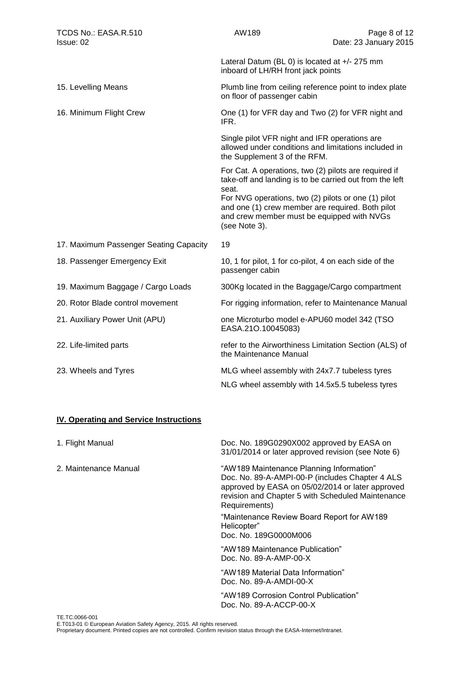<span id="page-7-2"></span><span id="page-7-1"></span><span id="page-7-0"></span>

| TCDS No.: EASA.R.510<br>Issue: 02      | AW189                                                                                                                                                                                                                                                                                               | Page 8 of 12<br>Date: 23 January 2015 |
|----------------------------------------|-----------------------------------------------------------------------------------------------------------------------------------------------------------------------------------------------------------------------------------------------------------------------------------------------------|---------------------------------------|
|                                        | Lateral Datum (BL 0) is located at +/- 275 mm<br>inboard of LH/RH front jack points                                                                                                                                                                                                                 |                                       |
| 15. Levelling Means                    | Plumb line from ceiling reference point to index plate<br>on floor of passenger cabin                                                                                                                                                                                                               |                                       |
| 16. Minimum Flight Crew                | One (1) for VFR day and Two (2) for VFR night and<br>IFR.                                                                                                                                                                                                                                           |                                       |
|                                        | Single pilot VFR night and IFR operations are<br>allowed under conditions and limitations included in<br>the Supplement 3 of the RFM.                                                                                                                                                               |                                       |
|                                        | For Cat. A operations, two (2) pilots are required if<br>take-off and landing is to be carried out from the left<br>seat.<br>For NVG operations, two (2) pilots or one (1) pilot<br>and one (1) crew member are required. Both pilot<br>and crew member must be equipped with NVGs<br>(see Note 3). |                                       |
| 17. Maximum Passenger Seating Capacity | 19                                                                                                                                                                                                                                                                                                  |                                       |
| 18. Passenger Emergency Exit           | 10, 1 for pilot, 1 for co-pilot, 4 on each side of the<br>passenger cabin                                                                                                                                                                                                                           |                                       |
| 19. Maximum Baggage / Cargo Loads      | 300Kg located in the Baggage/Cargo compartment                                                                                                                                                                                                                                                      |                                       |
| 20. Rotor Blade control movement       | For rigging information, refer to Maintenance Manual                                                                                                                                                                                                                                                |                                       |
| 21. Auxiliary Power Unit (APU)         | one Microturbo model e-APU60 model 342 (TSO<br>EASA.21O.10045083)                                                                                                                                                                                                                                   |                                       |
| 22. Life-limited parts                 | refer to the Airworthiness Limitation Section (ALS) of<br>the Maintenance Manual                                                                                                                                                                                                                    |                                       |
| 23. Wheels and Tyres                   | MLG wheel assembly with 24x7.7 tubeless tyres                                                                                                                                                                                                                                                       |                                       |
|                                        | NLG wheel assembly with 14.5x5.5 tubeless tyres                                                                                                                                                                                                                                                     |                                       |

#### <span id="page-7-8"></span><span id="page-7-7"></span><span id="page-7-6"></span><span id="page-7-5"></span><span id="page-7-4"></span><span id="page-7-3"></span>**IV. Operating and Service Instructions**

<span id="page-7-10"></span><span id="page-7-9"></span>

| 1. Flight Manual      | Doc. No. 189G0290X002 approved by EASA on<br>31/01/2014 or later approved revision (see Note 6)                                                                                                                       |
|-----------------------|-----------------------------------------------------------------------------------------------------------------------------------------------------------------------------------------------------------------------|
| 2. Maintenance Manual | "AW189 Maintenance Planning Information"<br>Doc. No. 89-A-AMPI-00-P (includes Chapter 4 ALS<br>approved by EASA on 05/02/2014 or later approved<br>revision and Chapter 5 with Scheduled Maintenance<br>Requirements) |
|                       | "Maintenance Review Board Report for AW189<br>Helicopter"<br>Doc. No. 189G0000M006                                                                                                                                    |
|                       | "AW189 Maintenance Publication"<br>Doc. No. 89-A-AMP-00-X                                                                                                                                                             |
|                       | "AW189 Material Data Information"<br>Doc. No. $89-A-AMDI-00-X$                                                                                                                                                        |
|                       | "AW189 Corrosion Control Publication"<br>Doc. No. 89-A-ACCP-00-X                                                                                                                                                      |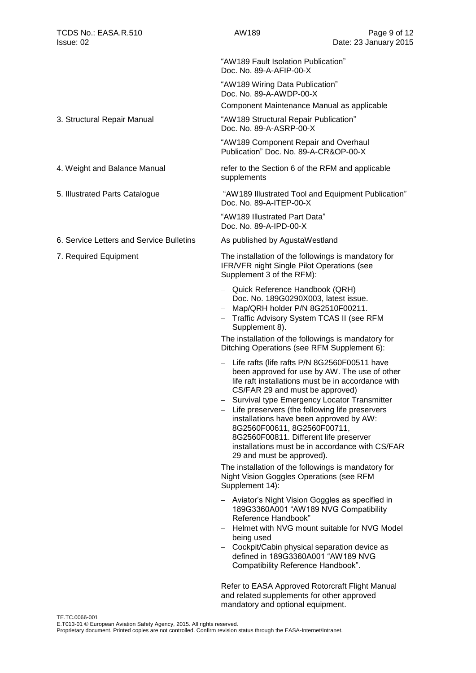"AW189 Fault Isolation Publication" Doc. No. 89-A-AFIP-00-X

"AW189 Wiring Data Publication" Doc. No. 89-A-AWDP-00-X

Component Maintenance Manual as applicable

<span id="page-8-0"></span>3. Structural Repair Manual "AW189 Structural Repair Publication" Doc. No. 89-A-ASRP-00-X

> "AW189 Component Repair and Overhaul Publication" Doc. No. 89-A-CR&OP-00-X

<span id="page-8-1"></span>4. Weight and Balance Manual refer to the Section 6 of the RFM and applicable supplements

<span id="page-8-2"></span>5. Illustrated Parts Catalogue "AW189 Illustrated Tool and Equipment Publication" Doc. No. 89-A-ITEP-00-X

> "AW189 Illustrated Part Data" Doc. No. 89-A-IPD-00-X

<span id="page-8-3"></span>6. Service Letters and Service Bulletins As published by AgustaWestland

<span id="page-8-4"></span>7. Required Equipment The installation of the followings is mandatory for IFR/VFR night Single Pilot Operations (see Supplement 3 of the RFM):

- Quick Reference Handbook (QRH) Doc. No. 189G0290X003, latest issue.
- Map/QRH holder P/N 8G2510F00211.
- Traffic Advisory System TCAS II (see RFM Supplement 8).

The installation of the followings is mandatory for Ditching Operations (see RFM Supplement 6):

- Life rafts (life rafts P/N 8G2560F00511 have been approved for use by AW. The use of other life raft installations must be in accordance with CS/FAR 29 and must be approved)
- Survival type Emergency Locator Transmitter
- Life preservers (the following life preservers installations have been approved by AW: 8G2560F00611, 8G2560F00711, 8G2560F00811. Different life preserver installations must be in accordance with CS/FAR 29 and must be approved).

The installation of the followings is mandatory for Night Vision Goggles Operations (see RFM Supplement 14):

- Aviator's Night Vision Goggles as specified in 189G3360A001 "AW189 NVG Compatibility Reference Handbook"
- Helmet with NVG mount suitable for NVG Model being used
- Cockpit/Cabin physical separation device as defined in 189G3360A001 "AW189 NVG Compatibility Reference Handbook".

Refer to EASA Approved Rotorcraft Flight Manual and related supplements for other approved mandatory and optional equipment.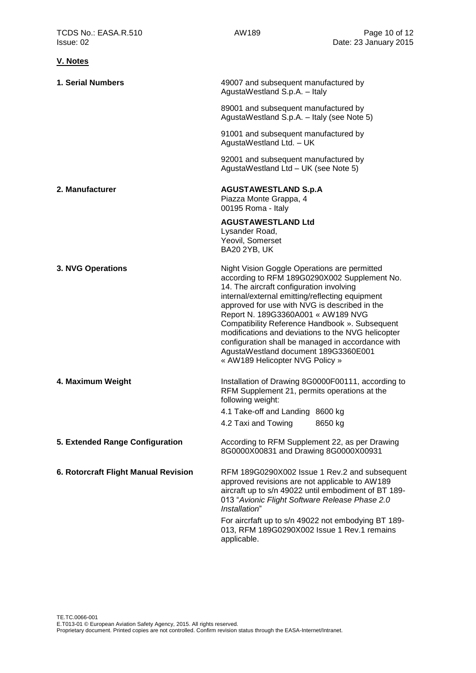<span id="page-9-0"></span>

| TCDS No.: EASA.R.510<br>Issue: 02    | AW189                                                                                                                                                                                                                                                                                                         | Page 10 of 12<br>Date: 23 January 2015                                                                                                                                                                    |
|--------------------------------------|---------------------------------------------------------------------------------------------------------------------------------------------------------------------------------------------------------------------------------------------------------------------------------------------------------------|-----------------------------------------------------------------------------------------------------------------------------------------------------------------------------------------------------------|
| V. Notes                             |                                                                                                                                                                                                                                                                                                               |                                                                                                                                                                                                           |
| 1. Serial Numbers                    | 49007 and subsequent manufactured by<br>AgustaWestland S.p.A. - Italy                                                                                                                                                                                                                                         |                                                                                                                                                                                                           |
|                                      | 89001 and subsequent manufactured by<br>AgustaWestland S.p.A. - Italy (see Note 5)                                                                                                                                                                                                                            |                                                                                                                                                                                                           |
|                                      | 91001 and subsequent manufactured by<br>AgustaWestland Ltd. - UK                                                                                                                                                                                                                                              |                                                                                                                                                                                                           |
|                                      | 92001 and subsequent manufactured by<br>AgustaWestland Ltd - UK (see Note 5)                                                                                                                                                                                                                                  |                                                                                                                                                                                                           |
| 2. Manufacturer                      | <b>AGUSTAWESTLAND S.p.A</b><br>Piazza Monte Grappa, 4<br>00195 Roma - Italy                                                                                                                                                                                                                                   |                                                                                                                                                                                                           |
|                                      | <b>AGUSTAWESTLAND Ltd</b><br>Lysander Road,<br>Yeovil, Somerset<br>BA20 2YB, UK                                                                                                                                                                                                                               |                                                                                                                                                                                                           |
| 3. NVG Operations                    | Night Vision Goggle Operations are permitted<br>14. The aircraft configuration involving<br>internal/external emitting/reflecting equipment<br>approved for use with NVG is described in the<br>Report N. 189G3360A001 « AW189 NVG<br>AgustaWestland document 189G3360E001<br>« AW189 Helicopter NVG Policy » | according to RFM 189G0290X002 Supplement No.<br>Compatibility Reference Handbook ». Subsequent<br>modifications and deviations to the NVG helicopter<br>configuration shall be managed in accordance with |
| 4. Maximum Weight                    | RFM Supplement 21, permits operations at the<br>following weight:                                                                                                                                                                                                                                             | Installation of Drawing 8G0000F00111, according to                                                                                                                                                        |
|                                      | 4.1 Take-off and Landing 8600 kg                                                                                                                                                                                                                                                                              |                                                                                                                                                                                                           |
|                                      | 4.2 Taxi and Towing                                                                                                                                                                                                                                                                                           | 8650 kg                                                                                                                                                                                                   |
| 5. Extended Range Configuration      | 8G0000X00831 and Drawing 8G0000X00931                                                                                                                                                                                                                                                                         | According to RFM Supplement 22, as per Drawing                                                                                                                                                            |
| 6. Rotorcraft Flight Manual Revision | Installation"                                                                                                                                                                                                                                                                                                 | RFM 189G0290X002 Issue 1 Rev.2 and subsequent<br>approved revisions are not applicable to AW189<br>aircraft up to s/n 49022 until embodiment of BT 189-<br>013 "Avionic Flight Software Release Phase 2.0 |
|                                      | applicable.                                                                                                                                                                                                                                                                                                   | For aircrfaft up to s/n 49022 not embodying BT 189-<br>013, RFM 189G0290X002 Issue 1 Rev.1 remains                                                                                                        |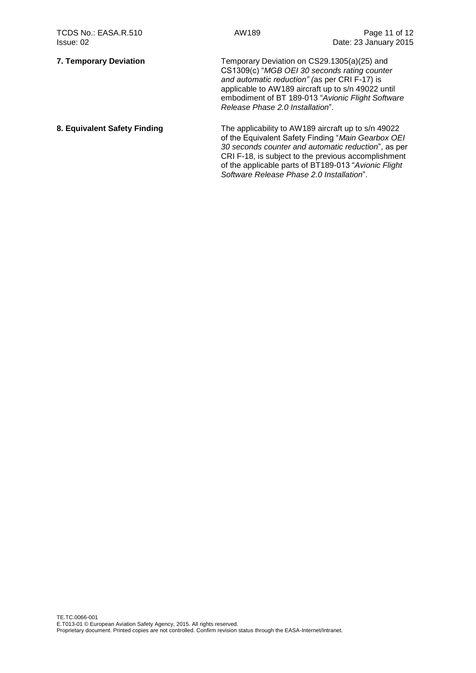*Software Release Phase 2.0 Installation*".

| <b>7. Temporary Deviation</b> | Temporary Deviation on CS29.1305(a)(25) and<br>CS1309(c) "MGB OEI 30 seconds rating counter<br>and automatic reduction" (as per CRI F-17) is<br>applicable to AW189 aircraft up to s/n 49022 until<br>embodiment of BT 189-013 "Avionic Flight Software<br>Release Phase 2.0 Installation". |
|-------------------------------|---------------------------------------------------------------------------------------------------------------------------------------------------------------------------------------------------------------------------------------------------------------------------------------------|
| 8. Equivalent Safety Finding  | The applicability to AW189 aircraft up to s/n 49022<br>of the Equivalent Safety Finding "Main Gearbox OEI<br>30 seconds counter and automatic reduction", as per<br>CRI F-18, is subject to the previous accomplishment<br>of the applicable parts of BT189-013 "Avionic Flight             |